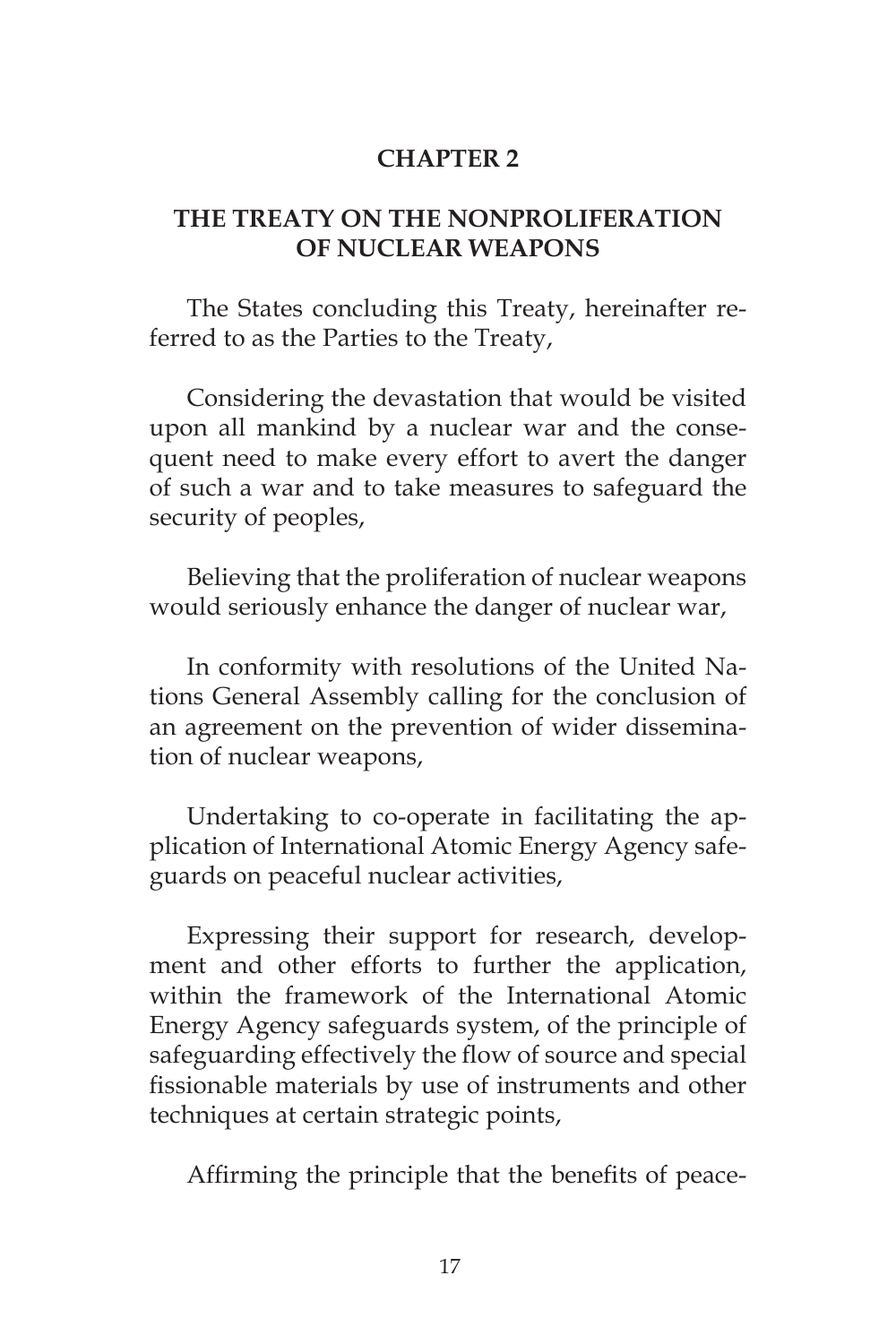# **CHAPTER 2**

# **THE TREATY ON THE NONPROLIFERATION OF NUCLEAR WEAPONS**

The States concluding this Treaty, hereinafter referred to as the Parties to the Treaty,

Considering the devastation that would be visited upon all mankind by a nuclear war and the consequent need to make every effort to avert the danger of such a war and to take measures to safeguard the security of peoples,

Believing that the proliferation of nuclear weapons would seriously enhance the danger of nuclear war,

In conformity with resolutions of the United Nations General Assembly calling for the conclusion of an agreement on the prevention of wider dissemination of nuclear weapons,

Undertaking to co-operate in facilitating the application of International Atomic Energy Agency safeguards on peaceful nuclear activities,

Expressing their support for research, development and other efforts to further the application, within the framework of the International Atomic Energy Agency safeguards system, of the principle of safeguarding effectively the flow of source and special fissionable materials by use of instruments and other techniques at certain strategic points,

Affirming the principle that the benefits of peace-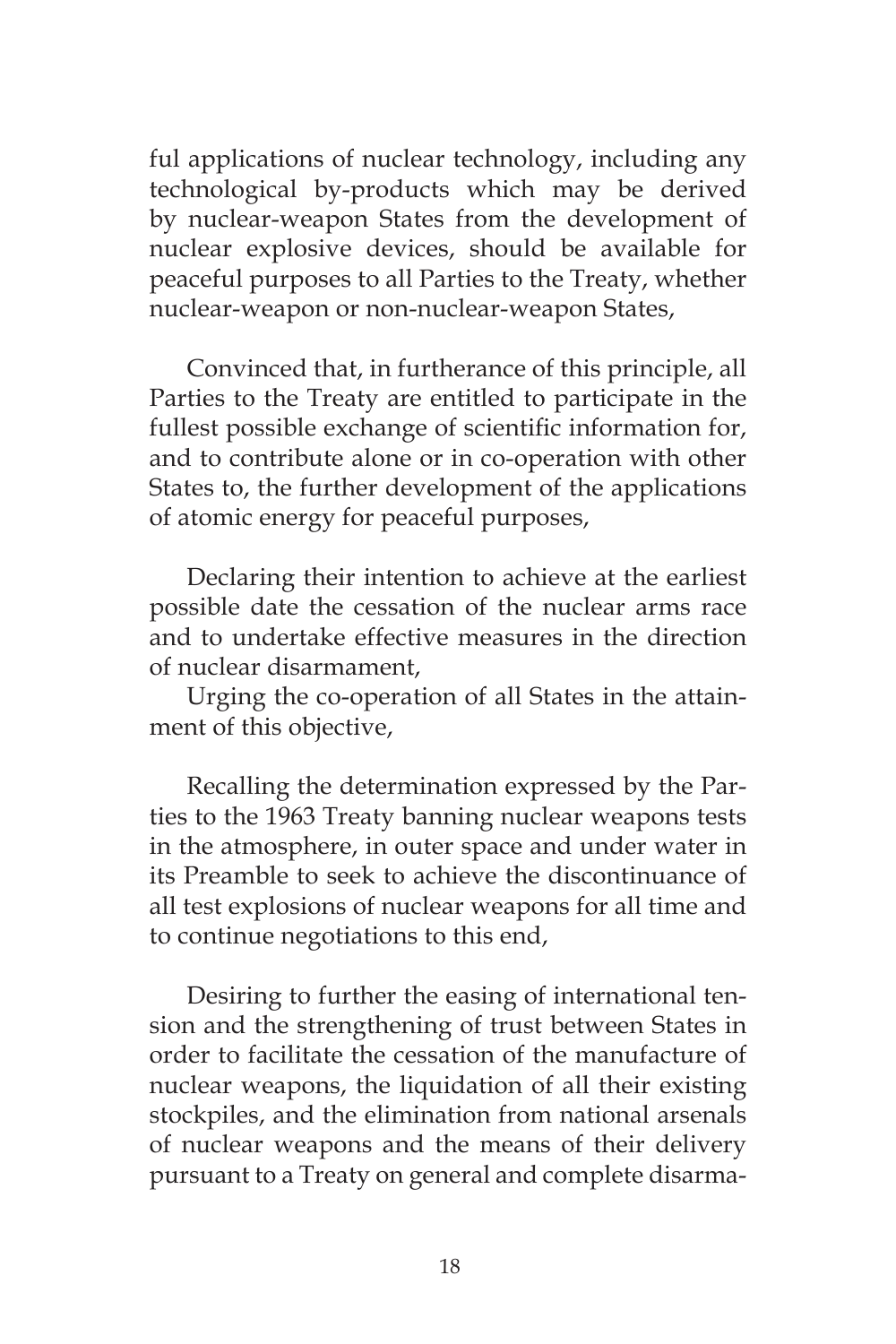ful applications of nuclear technology, including any technological by-products which may be derived by nuclear-weapon States from the development of nuclear explosive devices, should be available for peaceful purposes to all Parties to the Treaty, whether nuclear-weapon or non-nuclear-weapon States,

Convinced that, in furtherance of this principle, all Parties to the Treaty are entitled to participate in the fullest possible exchange of scientific information for, and to contribute alone or in co-operation with other States to, the further development of the applications of atomic energy for peaceful purposes,

Declaring their intention to achieve at the earliest possible date the cessation of the nuclear arms race and to undertake effective measures in the direction of nuclear disarmament,

Urging the co-operation of all States in the attainment of this objective,

Recalling the determination expressed by the Parties to the 1963 Treaty banning nuclear weapons tests in the atmosphere, in outer space and under water in its Preamble to seek to achieve the discontinuance of all test explosions of nuclear weapons for all time and to continue negotiations to this end,

Desiring to further the easing of international tension and the strengthening of trust between States in order to facilitate the cessation of the manufacture of nuclear weapons, the liquidation of all their existing stockpiles, and the elimination from national arsenals of nuclear weapons and the means of their delivery pursuant to a Treaty on general and complete disarma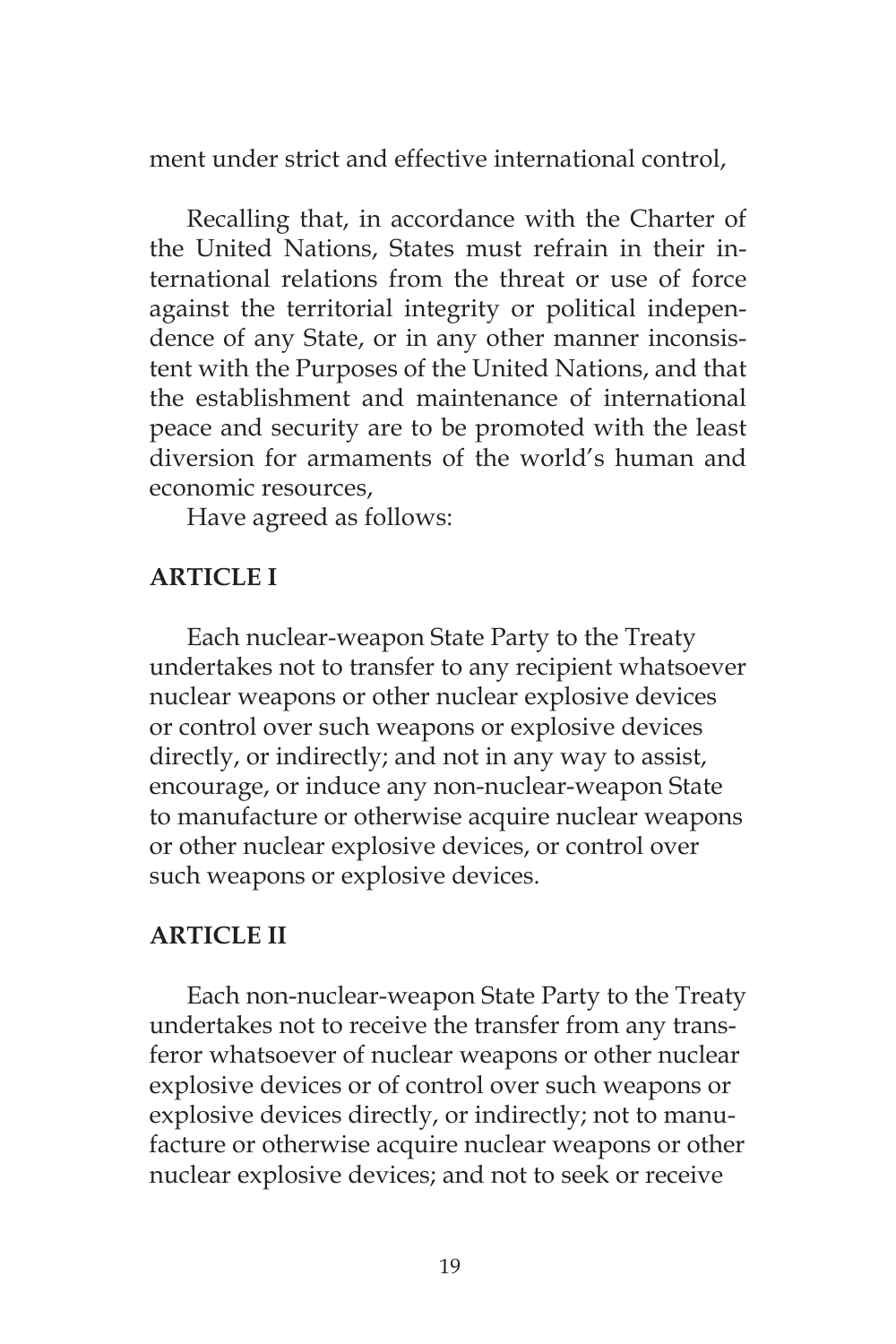ment under strict and effective international control,

Recalling that, in accordance with the Charter of the United Nations, States must refrain in their international relations from the threat or use of force against the territorial integrity or political independence of any State, or in any other manner inconsistent with the Purposes of the United Nations, and that the establishment and maintenance of international peace and security are to be promoted with the least diversion for armaments of the world's human and economic resources,

Have agreed as follows:

## **ARTICLE I**

Each nuclear-weapon State Party to the Treaty undertakes not to transfer to any recipient whatsoever nuclear weapons or other nuclear explosive devices or control over such weapons or explosive devices directly, or indirectly; and not in any way to assist, encourage, or induce any non-nuclear-weapon State to manufacture or otherwise acquire nuclear weapons or other nuclear explosive devices, or control over such weapons or explosive devices.

# **ARTICLE II**

Each non-nuclear-weapon State Party to the Treaty undertakes not to receive the transfer from any transferor whatsoever of nuclear weapons or other nuclear explosive devices or of control over such weapons or explosive devices directly, or indirectly; not to manufacture or otherwise acquire nuclear weapons or other nuclear explosive devices; and not to seek or receive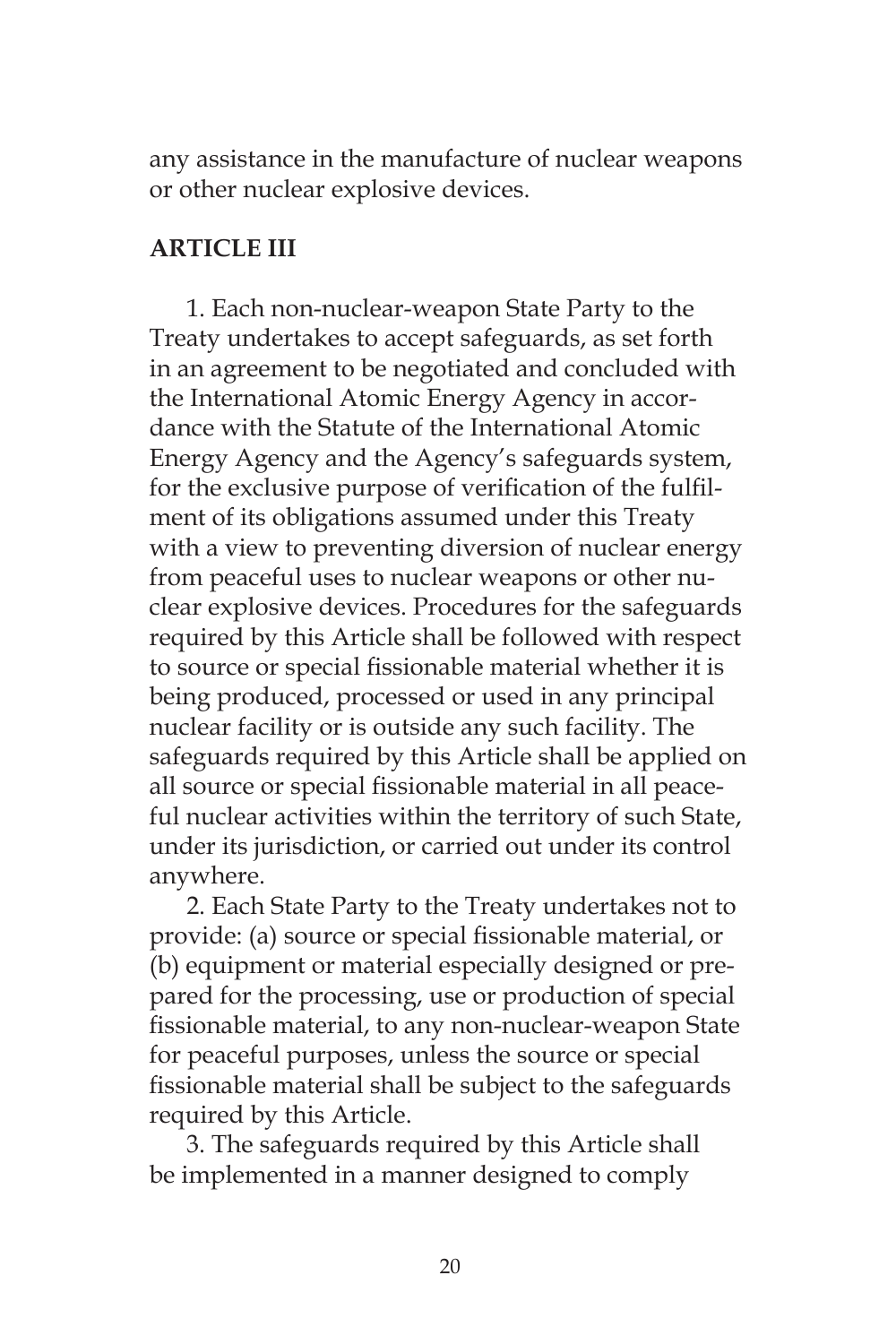any assistance in the manufacture of nuclear weapons or other nuclear explosive devices.

# **ARTICLE III**

1. Each non-nuclear-weapon State Party to the Treaty undertakes to accept safeguards, as set forth in an agreement to be negotiated and concluded with the International Atomic Energy Agency in accordance with the Statute of the International Atomic Energy Agency and the Agency's safeguards system, for the exclusive purpose of verification of the fulfilment of its obligations assumed under this Treaty with a view to preventing diversion of nuclear energy from peaceful uses to nuclear weapons or other nuclear explosive devices. Procedures for the safeguards required by this Article shall be followed with respect to source or special fissionable material whether it is being produced, processed or used in any principal nuclear facility or is outside any such facility. The safeguards required by this Article shall be applied on all source or special fissionable material in all peaceful nuclear activities within the territory of such State, under its jurisdiction, or carried out under its control anywhere.

2. Each State Party to the Treaty undertakes not to provide: (a) source or special fissionable material, or (b) equipment or material especially designed or prepared for the processing, use or production of special fissionable material, to any non-nuclear-weapon State for peaceful purposes, unless the source or special fissionable material shall be subject to the safeguards required by this Article.

3. The safeguards required by this Article shall be implemented in a manner designed to comply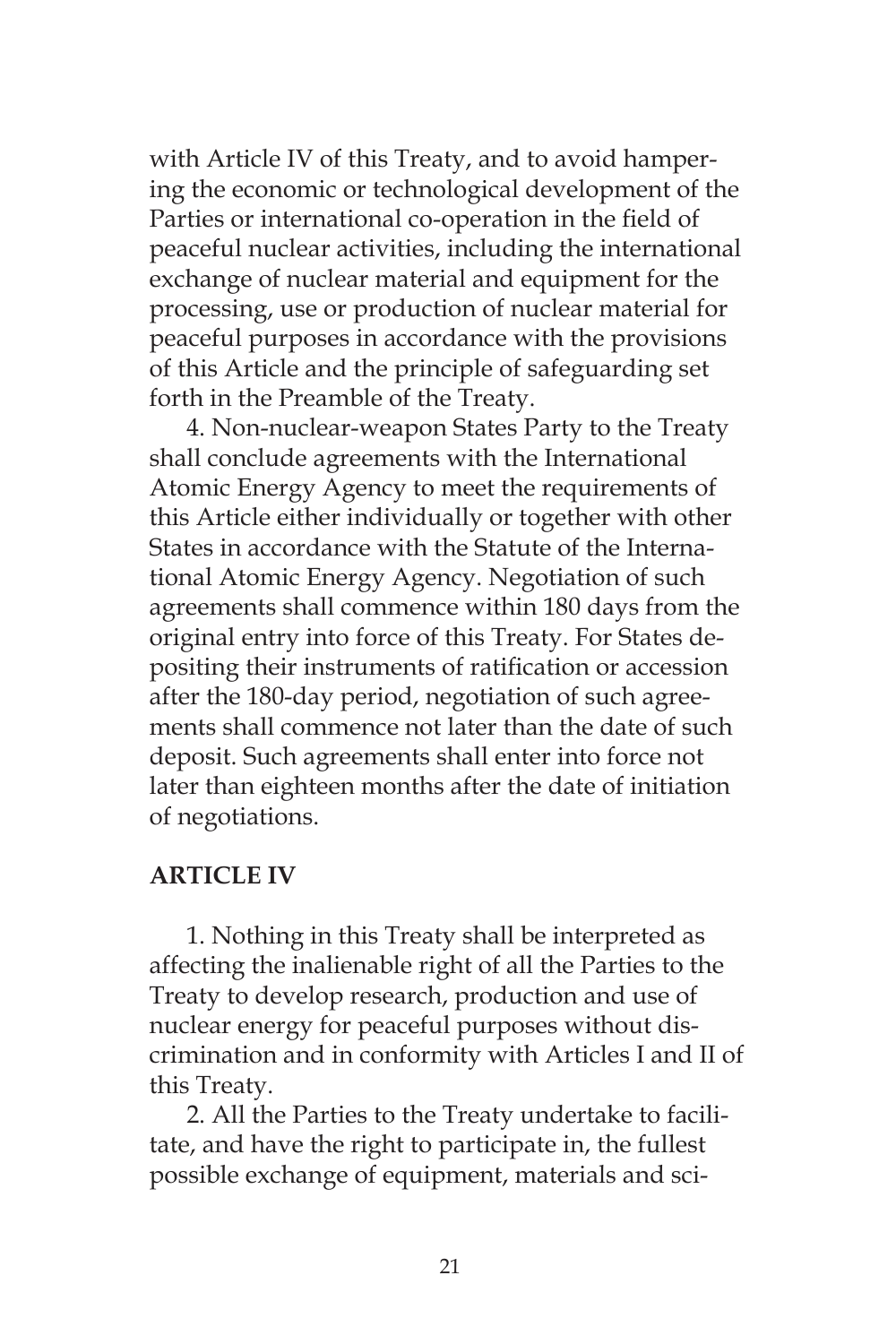with Article IV of this Treaty, and to avoid hampering the economic or technological development of the Parties or international co-operation in the field of peaceful nuclear activities, including the international exchange of nuclear material and equipment for the processing, use or production of nuclear material for peaceful purposes in accordance with the provisions of this Article and the principle of safeguarding set forth in the Preamble of the Treaty.

4. Non-nuclear-weapon States Party to the Treaty shall conclude agreements with the International Atomic Energy Agency to meet the requirements of this Article either individually or together with other States in accordance with the Statute of the International Atomic Energy Agency. Negotiation of such agreements shall commence within 180 days from the original entry into force of this Treaty. For States depositing their instruments of ratification or accession after the 180-day period, negotiation of such agreements shall commence not later than the date of such deposit. Such agreements shall enter into force not later than eighteen months after the date of initiation of negotiations.

## **ARTICLE IV**

1. Nothing in this Treaty shall be interpreted as affecting the inalienable right of all the Parties to the Treaty to develop research, production and use of nuclear energy for peaceful purposes without discrimination and in conformity with Articles I and II of this Treaty.

2. All the Parties to the Treaty undertake to facilitate, and have the right to participate in, the fullest possible exchange of equipment, materials and sci-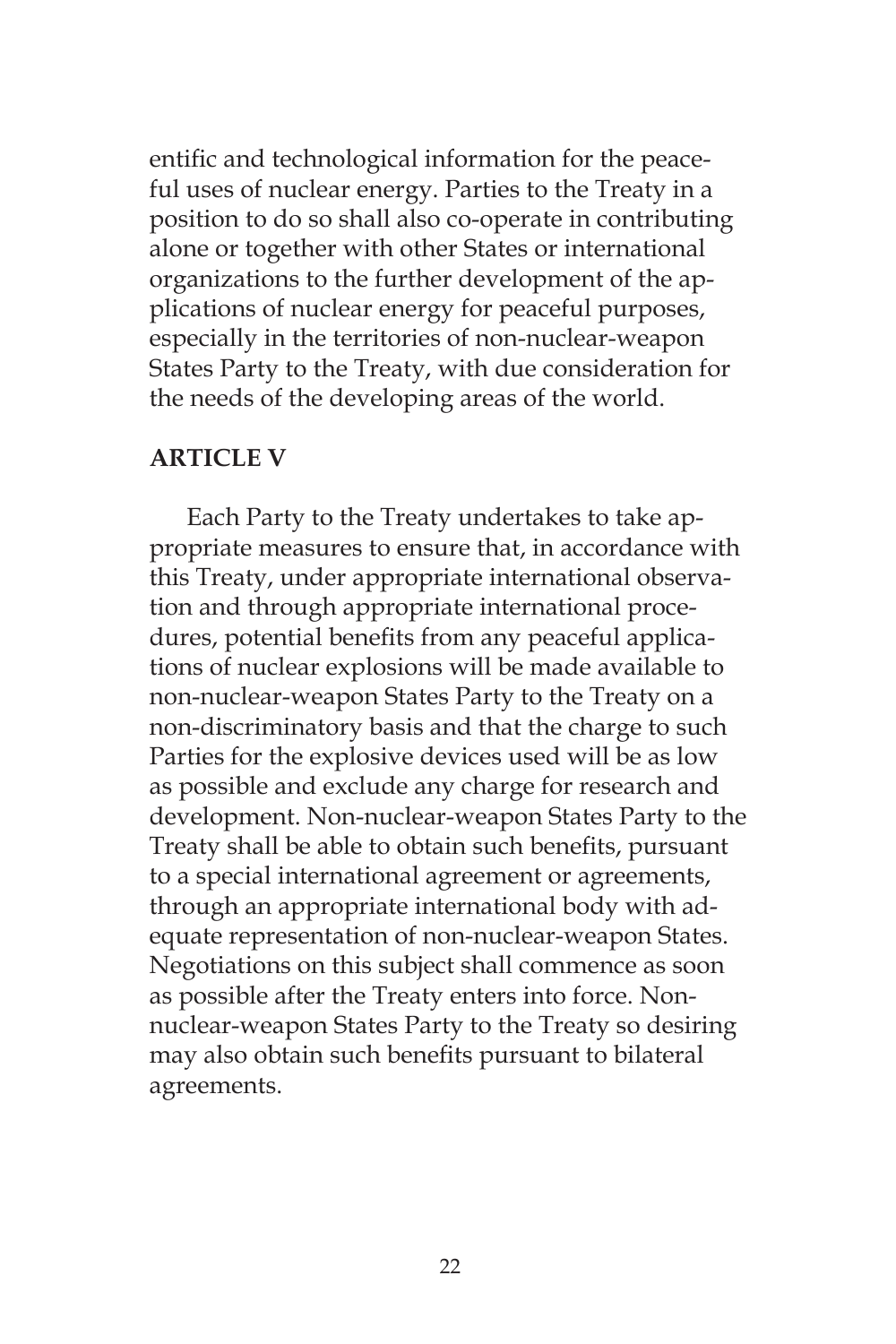entific and technological information for the peaceful uses of nuclear energy. Parties to the Treaty in a position to do so shall also co-operate in contributing alone or together with other States or international organizations to the further development of the applications of nuclear energy for peaceful purposes, especially in the territories of non-nuclear-weapon States Party to the Treaty, with due consideration for the needs of the developing areas of the world.

## **ARTICLE V**

Each Party to the Treaty undertakes to take appropriate measures to ensure that, in accordance with this Treaty, under appropriate international observation and through appropriate international procedures, potential benefits from any peaceful applications of nuclear explosions will be made available to non-nuclear-weapon States Party to the Treaty on a non-discriminatory basis and that the charge to such Parties for the explosive devices used will be as low as possible and exclude any charge for research and development. Non-nuclear-weapon States Party to the Treaty shall be able to obtain such benefits, pursuant to a special international agreement or agreements, through an appropriate international body with adequate representation of non-nuclear-weapon States. Negotiations on this subject shall commence as soon as possible after the Treaty enters into force. Nonnuclear-weapon States Party to the Treaty so desiring may also obtain such benefits pursuant to bilateral agreements.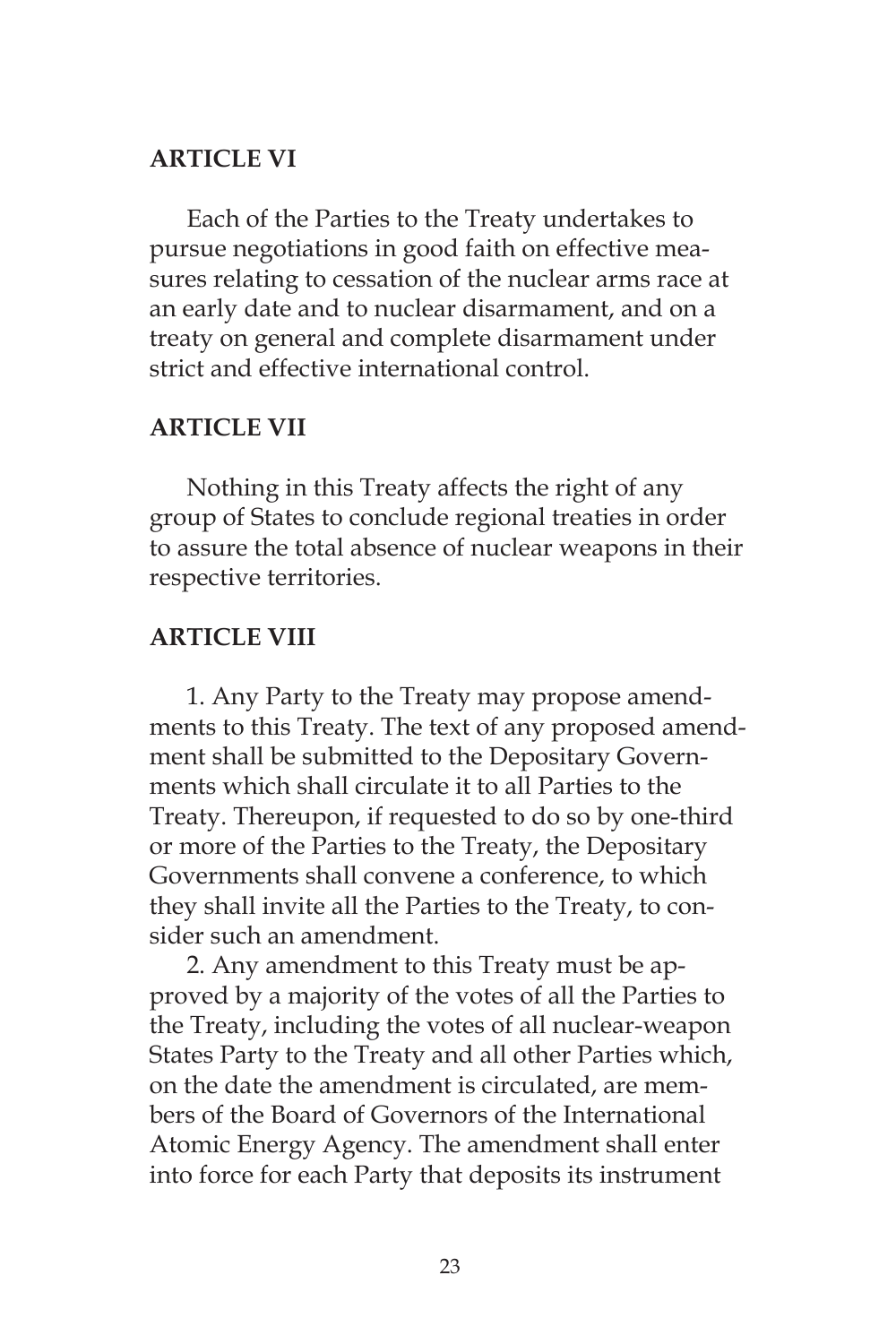## **ARTICLE VI**

Each of the Parties to the Treaty undertakes to pursue negotiations in good faith on effective measures relating to cessation of the nuclear arms race at an early date and to nuclear disarmament, and on a treaty on general and complete disarmament under strict and effective international control.

## **ARTICLE VII**

Nothing in this Treaty affects the right of any group of States to conclude regional treaties in order to assure the total absence of nuclear weapons in their respective territories.

## **ARTICLE VIII**

1. Any Party to the Treaty may propose amendments to this Treaty. The text of any proposed amendment shall be submitted to the Depositary Governments which shall circulate it to all Parties to the Treaty. Thereupon, if requested to do so by one-third or more of the Parties to the Treaty, the Depositary Governments shall convene a conference, to which they shall invite all the Parties to the Treaty, to consider such an amendment.

2. Any amendment to this Treaty must be approved by a majority of the votes of all the Parties to the Treaty, including the votes of all nuclear-weapon States Party to the Treaty and all other Parties which, on the date the amendment is circulated, are members of the Board of Governors of the International Atomic Energy Agency. The amendment shall enter into force for each Party that deposits its instrument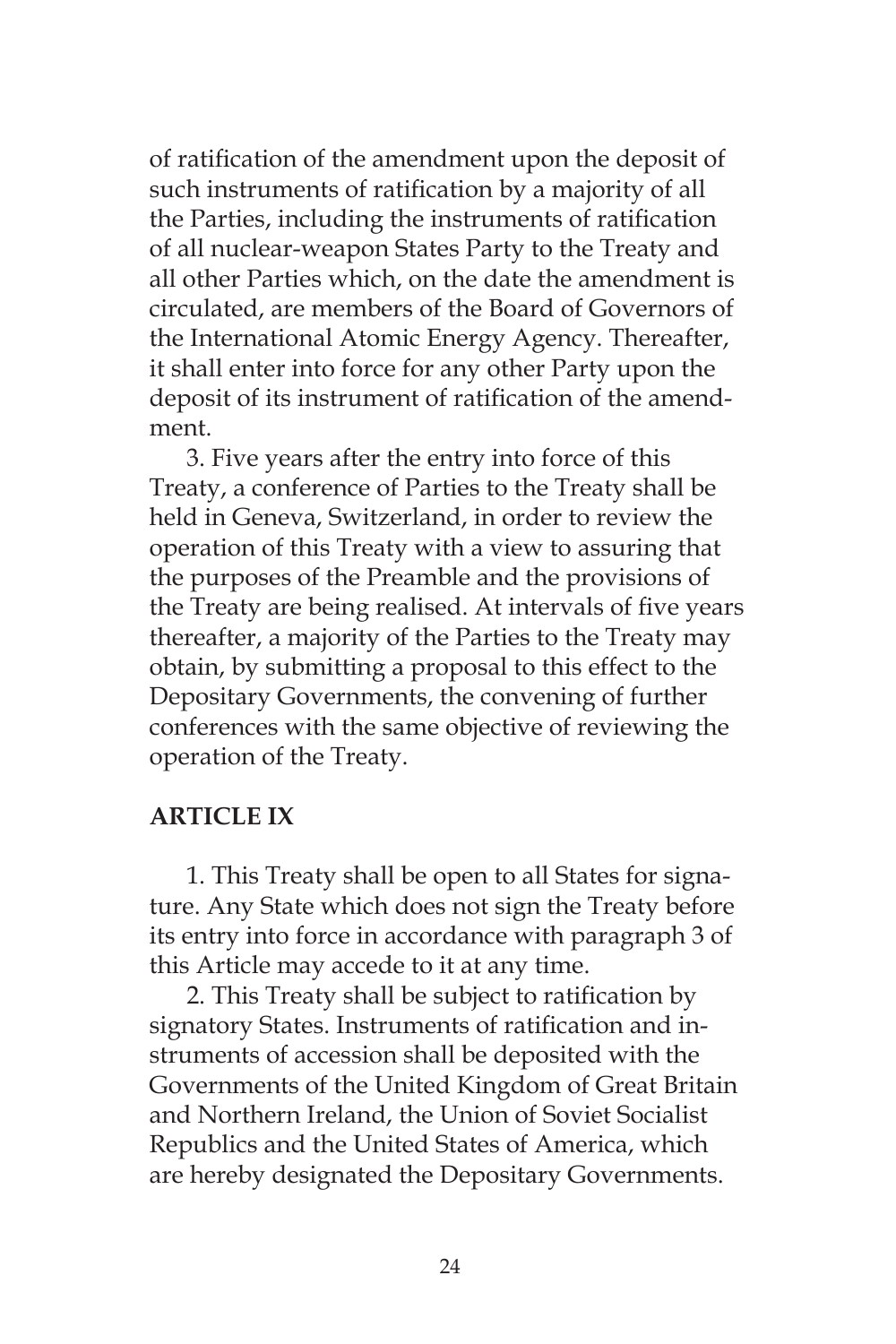of ratification of the amendment upon the deposit of such instruments of ratification by a majority of all the Parties, including the instruments of ratification of all nuclear-weapon States Party to the Treaty and all other Parties which, on the date the amendment is circulated, are members of the Board of Governors of the International Atomic Energy Agency. Thereafter, it shall enter into force for any other Party upon the deposit of its instrument of ratification of the amendment.

3. Five years after the entry into force of this Treaty, a conference of Parties to the Treaty shall be held in Geneva, Switzerland, in order to review the operation of this Treaty with a view to assuring that the purposes of the Preamble and the provisions of the Treaty are being realised. At intervals of five years thereafter, a majority of the Parties to the Treaty may obtain, by submitting a proposal to this effect to the Depositary Governments, the convening of further conferences with the same objective of reviewing the operation of the Treaty.

## **ARTICLE IX**

1. This Treaty shall be open to all States for signature. Any State which does not sign the Treaty before its entry into force in accordance with paragraph 3 of this Article may accede to it at any time.

2. This Treaty shall be subject to ratification by signatory States. Instruments of ratification and instruments of accession shall be deposited with the Governments of the United Kingdom of Great Britain and Northern Ireland, the Union of Soviet Socialist Republics and the United States of America, which are hereby designated the Depositary Governments.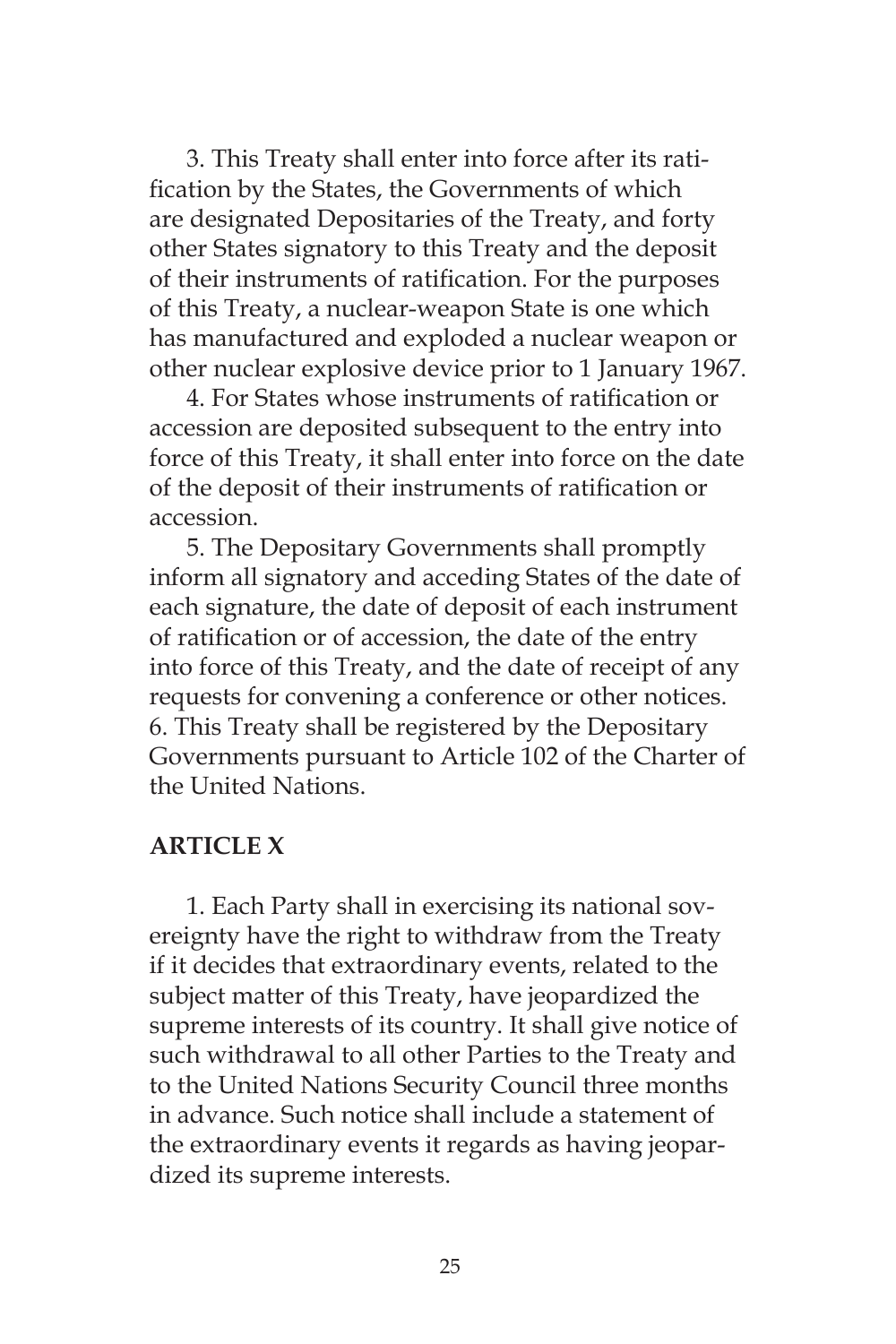3. This Treaty shall enter into force after its ratification by the States, the Governments of which are designated Depositaries of the Treaty, and forty other States signatory to this Treaty and the deposit of their instruments of ratification. For the purposes of this Treaty, a nuclear-weapon State is one which has manufactured and exploded a nuclear weapon or other nuclear explosive device prior to 1 January 1967.

4. For States whose instruments of ratification or accession are deposited subsequent to the entry into force of this Treaty, it shall enter into force on the date of the deposit of their instruments of ratification or accession.

5. The Depositary Governments shall promptly inform all signatory and acceding States of the date of each signature, the date of deposit of each instrument of ratification or of accession, the date of the entry into force of this Treaty, and the date of receipt of any requests for convening a conference or other notices. 6. This Treaty shall be registered by the Depositary Governments pursuant to Article 102 of the Charter of the United Nations.

## **ARTICLE X**

1. Each Party shall in exercising its national sovereignty have the right to withdraw from the Treaty if it decides that extraordinary events, related to the subject matter of this Treaty, have jeopardized the supreme interests of its country. It shall give notice of such withdrawal to all other Parties to the Treaty and to the United Nations Security Council three months in advance. Such notice shall include a statement of the extraordinary events it regards as having jeopardized its supreme interests.